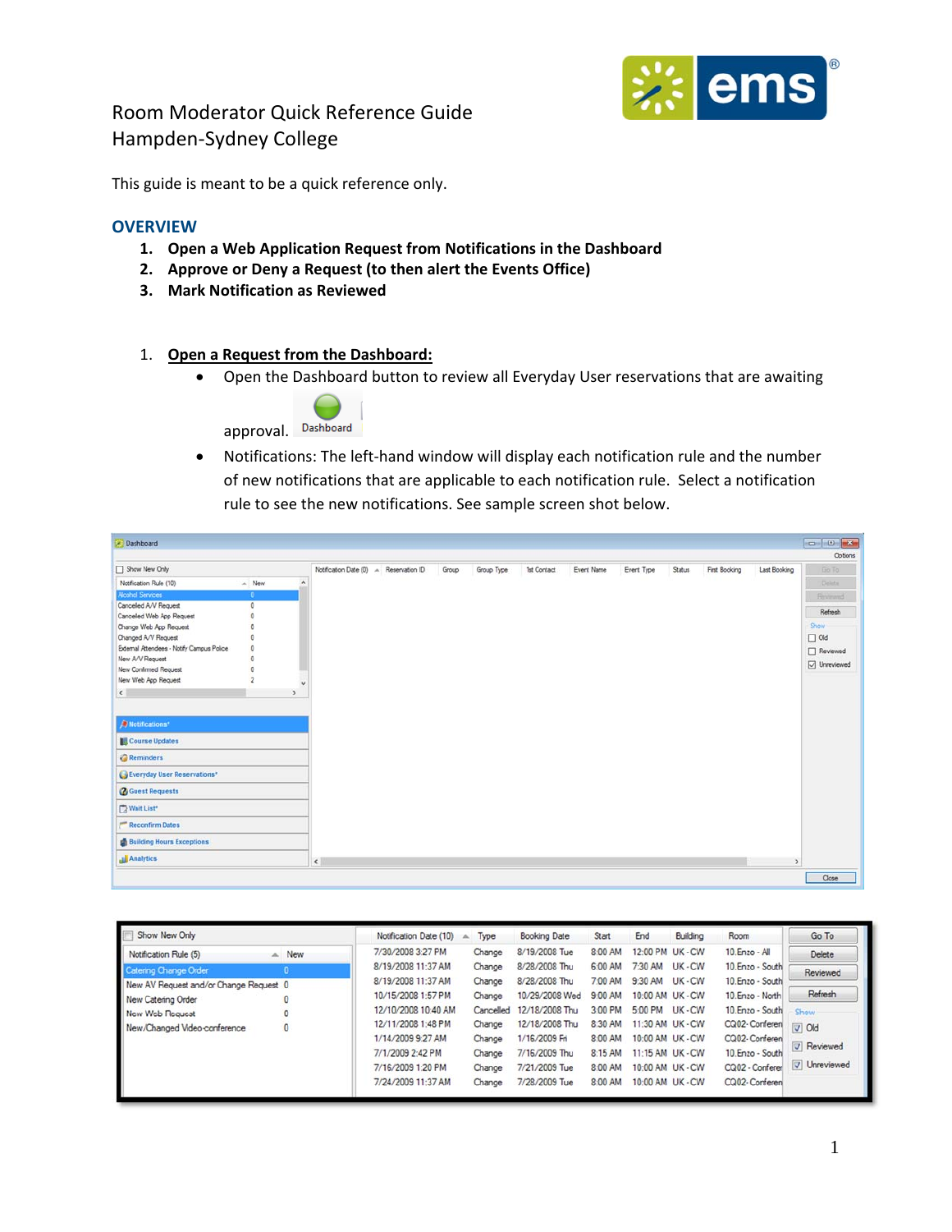

This guide is meant to be a quick reference only.

#### **OVERVIEW**

- **1. Open a Web Application Request from Notifications in the Dashboard**
- **2. Approve or Deny a Request (to then alert the Events Office)**
- **3. Mark Notification as Reviewed**
- 1. **Open a Request from the Dashboard:**
	- Open the Dashboard button to review all Everyday User reservations that are awaiting



● Notifications: The left-hand window will display each notification rule and the number of new notifications that are applicable to each notification rule. Select a notification rule to see the new notifications. See sample screen shot below.

| Dashboard                                 |                         |                     |        |                                        |       |            |             |            |            |               |               |               | <b>PO 0 X</b>   |
|-------------------------------------------|-------------------------|---------------------|--------|----------------------------------------|-------|------------|-------------|------------|------------|---------------|---------------|---------------|-----------------|
|                                           |                         |                     |        |                                        |       |            |             |            |            |               |               |               | Options         |
| Show New Only                             |                         |                     |        | Notification Date (0) A Reservation ID | Group | Group Type | 1st Contact | Event Name | Event Type | <b>Status</b> | First Booking | Last Booking  | Go To           |
| Notification Rule (10)                    | $A$ New                 | $\hat{\phantom{a}}$ |        |                                        |       |            |             |            |            |               |               |               | Delete          |
| <b>Alcohol Services</b>                   | $\bullet$               |                     |        |                                        |       |            |             |            |            |               |               |               | <b>Reviewed</b> |
| Cancelled A/V Request                     | $\circ$                 |                     |        |                                        |       |            |             |            |            |               |               |               |                 |
| Cancelled Web App Request                 | $\mathbf 0$             |                     |        |                                        |       |            |             |            |            |               |               |               | Refresh         |
| Change Web App Request                    | $\circ$                 |                     |        |                                        |       |            |             |            |            |               |               |               | Show            |
| Changed A/V Request                       | $\circ$                 |                     |        |                                        |       |            |             |            |            |               |               |               | $\Box$ Old      |
| External Attendees - Notify Campus Police | $\circ$                 |                     |        |                                        |       |            |             |            |            |               |               |               | $\Box$ Reviewed |
| New A/V Request                           | $\circ$                 |                     |        |                                        |       |            |             |            |            |               |               |               | O Unreviewed    |
| New Confirmed Request                     | $\circ$                 |                     |        |                                        |       |            |             |            |            |               |               |               |                 |
| New Web App Request                       | $\overline{\mathbf{2}}$ | $\checkmark$        |        |                                        |       |            |             |            |            |               |               |               |                 |
| $\left\langle \cdot \right\rangle$        |                         | ,                   |        |                                        |       |            |             |            |            |               |               |               |                 |
|                                           |                         |                     |        |                                        |       |            |             |            |            |               |               |               |                 |
| Notifications <sup>*</sup>                |                         |                     |        |                                        |       |            |             |            |            |               |               |               |                 |
|                                           |                         |                     |        |                                        |       |            |             |            |            |               |               |               |                 |
| Course Updates                            |                         |                     |        |                                        |       |            |             |            |            |               |               |               |                 |
| Reminders                                 |                         |                     |        |                                        |       |            |             |            |            |               |               |               |                 |
| Everyday User Reservations*               |                         |                     |        |                                        |       |            |             |            |            |               |               |               |                 |
| <b>Guest Requests</b>                     |                         |                     |        |                                        |       |            |             |            |            |               |               |               |                 |
| Wait List*                                |                         |                     |        |                                        |       |            |             |            |            |               |               |               |                 |
| Reconfirm Dates                           |                         |                     |        |                                        |       |            |             |            |            |               |               |               |                 |
| <b>Building Hours Exceptions</b>          |                         |                     |        |                                        |       |            |             |            |            |               |               |               |                 |
| Analytics                                 |                         |                     | $\leq$ |                                        |       |            |             |            |            |               |               | $\rightarrow$ |                 |
|                                           |                         |                     |        |                                        |       |            |             |            |            |               |               |               | Close           |

| Show New Only                                                |              | Notification Date (10)                   | Type             | <b>Booking Date</b>             | Start                       | End                                  | Building         | Room                                 | Go To          |
|--------------------------------------------------------------|--------------|------------------------------------------|------------------|---------------------------------|-----------------------------|--------------------------------------|------------------|--------------------------------------|----------------|
| Notification Rule (5)                                        | $-$ New      | 7/30/2008 3:27 PM                        | Change           | 8/19/2008 Tue                   | 8:00 AM                     | 12:00 PM UK - CW                     |                  | 10. Enzo - All                       | Delete         |
| <b>Catering Change Order</b>                                 |              | 8/19/2008 11:37 AM<br>8/19/2008 11:37 AM | Change<br>Change | 8/28/2008 Thu<br>8/28/2008 Thu  | 6:00 AM<br>7:00 AM          | 7:30 AM<br>9:30 AM UK - CW           | UK-CW            | 10. Enzo - South<br>10. Enzo - South | Reviewed       |
| New AV Request and/or Change Request 0<br>New Catering Order |              | 10/15/2008 1:57 PM                       | Change           | 10/29/2008 Wed                  | 9:00 AM                     | 10:00 AM UK - CW                     |                  | 10.Enzo - North                      | Refresh        |
| New Web Request                                              |              | 12/10/2008 10:40 AM                      | Cancelled        | 12/18/2008 Thu                  | $3:00$ PM                   | 5:00 PM UK - CW                      |                  | 10.Enzo - South                      | Show           |
| New/Changed Video-conference                                 | $\mathbf{0}$ | 12/11/2008 1:48 PM<br>1/14/2009 9:27 AM  | Change<br>Change | 12/18/2008 Thu<br>1/16/2009 Fri | 8:30 AM<br>8:00 AM          | 11:30 AM UK - CW<br>10:00 AM UK - CW |                  | CQ02-Conferen<br>CQ02- Conferen      | $\sqrt{d}$ Old |
|                                                              |              | 7/1/2009 2:42 PM                         | Change           | 7/16/2009 Thu                   | 11:15 AM UK - CW<br>8:15 AM |                                      | 10. Enzo - South | <b>V</b> Reviewed                    |                |
|                                                              |              | 7/16/2009 1:20 PM                        | Change           | 7/21/2009 Tue                   | 8:00 AM                     | 10:00 AM UK - CW                     |                  | CQ02 - Conferer                      | V Unreviewed   |
|                                                              |              | 7/24/2009 11:37 AM                       | Change           | 7/28/2009 Tue                   | 8:00 AM                     | 10:00 AM UK - CW                     |                  | CQ02-Conferen                        |                |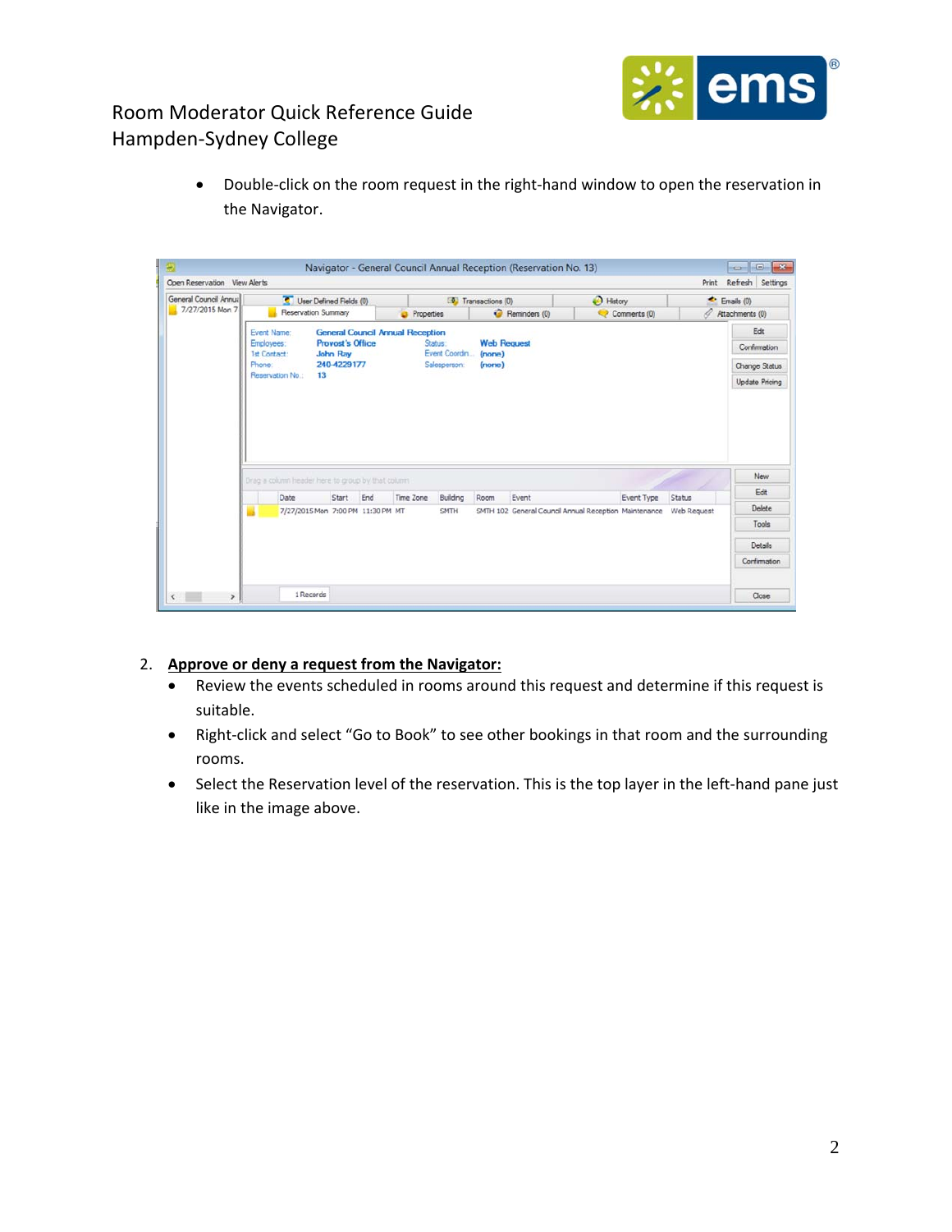

● Double-click on the room request in the right-hand window to open the reservation in the Navigator.

| General Council Annual |                                                   | User Defined Fields (0)                    |           |                               | Transactions (0)   | History                                               |                      | ×<br>Emails (0)               |  |
|------------------------|---------------------------------------------------|--------------------------------------------|-----------|-------------------------------|--------------------|-------------------------------------------------------|----------------------|-------------------------------|--|
| 7/27/2015 Mon 7        |                                                   | Reservation Summary                        |           | <b>D</b> Properties           | Reminders (0)      | Comments (0)                                          | B<br>Attachments (0) |                               |  |
|                        | Event Name:                                       | <b>General Council Annual Reception</b>    |           | Status:                       | <b>Web Request</b> |                                                       |                      | Edit                          |  |
|                        | Employees:<br><b>1st Contact:</b>                 | <b>Provost's Office</b><br><b>John Ray</b> |           |                               |                    | Confirmation                                          |                      |                               |  |
|                        | Phone:                                            | 240-4229177                                |           | Event Coordin<br>Salesperson: | (none)<br>$(more)$ |                                                       |                      | Change Status                 |  |
|                        | Reservation No.:                                  | 13                                         |           |                               |                    |                                                       |                      |                               |  |
|                        |                                                   |                                            |           |                               |                    |                                                       |                      |                               |  |
|                        | Drag a column header here to group by that column |                                            |           |                               |                    |                                                       |                      | New                           |  |
|                        | Date                                              | Start<br>End                               | Time Zone | Building                      | Room<br>Event      | Event Type                                            | Status               | <b>Update Pricing</b><br>Edit |  |
|                        | ٠                                                 | 7/27/2015 Mon 7:00 PM 11:30 PM MT          |           | SMTH                          |                    | SMTH 102 General Council Annual Reception Maintenance | Web Request          | Delete                        |  |
|                        |                                                   |                                            |           |                               |                    |                                                       |                      | Tools                         |  |
|                        |                                                   |                                            |           |                               |                    |                                                       |                      | Details                       |  |

#### 2. **Approve or deny a request from the Navigator:**

- Review the events scheduled in rooms around this request and determine if this request is suitable.
- Right-click and select "Go to Book" to see other bookings in that room and the surrounding rooms.
- Select the Reservation level of the reservation. This is the top layer in the left-hand pane just like in the image above.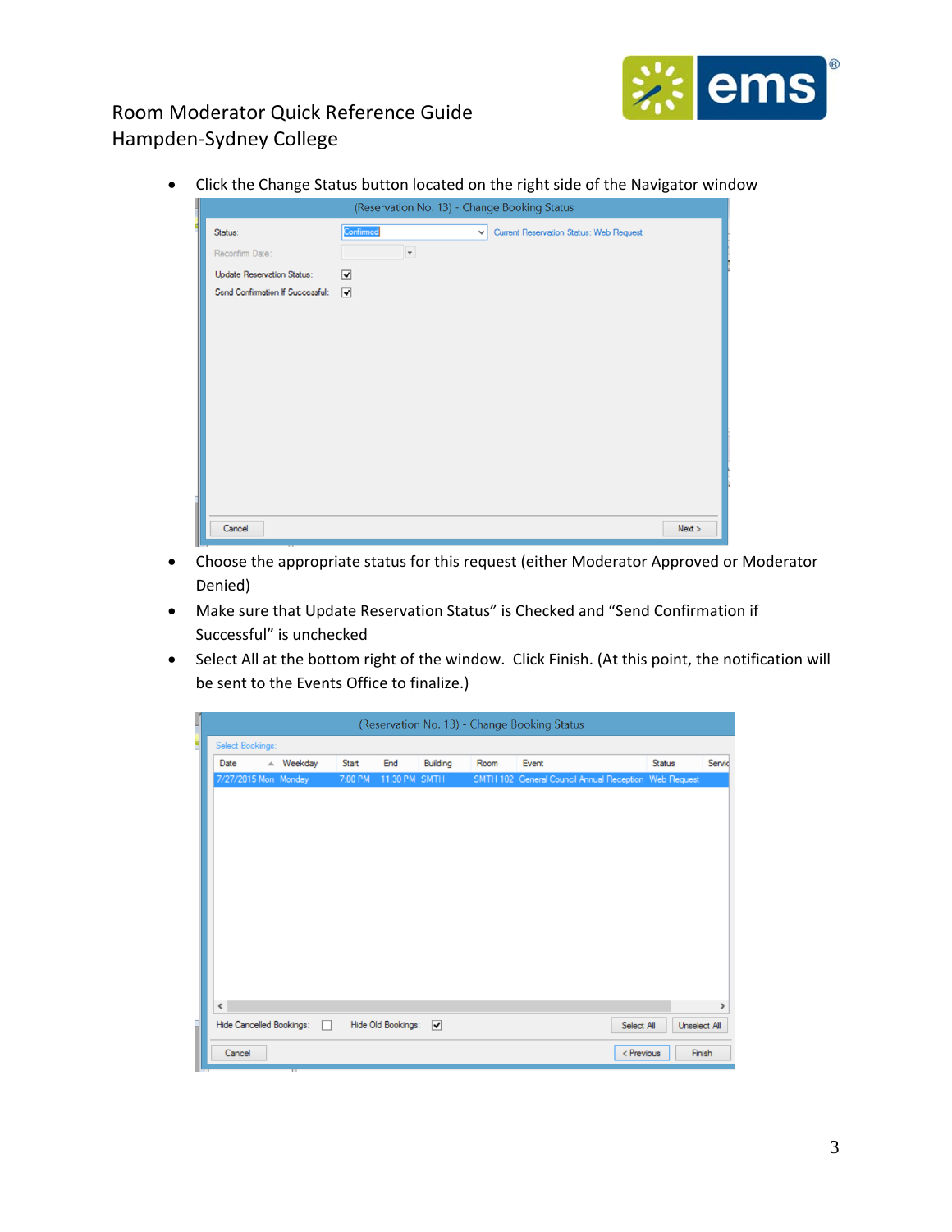

Click the Change Status button located on the right side of the Navigator window

|                                  | (Reservation No. 13) - Change Booking Status                         |
|----------------------------------|----------------------------------------------------------------------|
| Status:                          | Confirmed<br>Current Reservation Status: Web Request<br>$\checkmark$ |
| Reconfirm Date:                  | $\overline{\phantom{a}}$                                             |
| Update Reservation Status:       | ☑                                                                    |
| Send Confirmation If Successful: | ☑                                                                    |
|                                  |                                                                      |
|                                  |                                                                      |
|                                  |                                                                      |
|                                  |                                                                      |
|                                  |                                                                      |
|                                  |                                                                      |
|                                  |                                                                      |
|                                  |                                                                      |
|                                  |                                                                      |
|                                  |                                                                      |
| Cancel                           | Next >                                                               |

- Choose the appropriate status for this request (either Moderator Approved or Moderator Denied)
- Make sure that Update Reservation Status" is Checked and "Send Confirmation if Successful" is unchecked
- Select All at the bottom right of the window. Click Finish. (At this point, the notification will be sent to the Events Office to finalize.)

|                      |                          |              |                      |          |      | (Reservation No. 13) - Change Booking Status          |                                   |               |
|----------------------|--------------------------|--------------|----------------------|----------|------|-------------------------------------------------------|-----------------------------------|---------------|
| Select Bookings:     |                          |              |                      |          |      |                                                       |                                   |               |
| Date                 | $\triangle$ Weekday      | <b>Start</b> | End                  | Building | Room | Event                                                 | <b>Status</b>                     | Servic        |
| 7/27/2015 Mon Monday |                          | 7:00 PM      | 11:30 PM SMTH        |          |      | SMTH 102 General Council Annual Reception Web Request |                                   |               |
|                      |                          |              |                      |          |      |                                                       |                                   |               |
|                      |                          |              |                      |          |      |                                                       |                                   |               |
|                      |                          |              |                      |          |      |                                                       |                                   |               |
|                      |                          |              |                      |          |      |                                                       |                                   |               |
|                      |                          |              |                      |          |      |                                                       |                                   |               |
|                      |                          |              |                      |          |      |                                                       |                                   |               |
|                      |                          |              |                      |          |      |                                                       |                                   |               |
|                      |                          |              |                      |          |      |                                                       |                                   |               |
|                      |                          |              |                      |          |      |                                                       |                                   |               |
|                      |                          |              |                      |          |      |                                                       |                                   |               |
|                      |                          |              |                      |          |      |                                                       |                                   |               |
| ≺                    |                          |              |                      |          |      |                                                       |                                   | $\rightarrow$ |
|                      | Hide Cancelled Bookings: |              | Hide Old Bookings: V |          |      |                                                       | Select All<br><b>Unselect All</b> |               |
|                      |                          |              |                      |          |      |                                                       |                                   |               |
| Cancel               |                          |              |                      |          |      |                                                       | < Previous                        | Finish        |
|                      |                          |              |                      |          |      |                                                       |                                   |               |